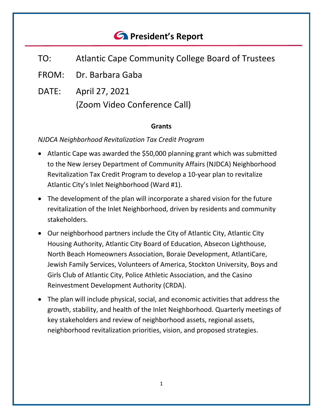# *<u>C* President's Report</u>

- TO: Atlantic Cape Community College Board of Trustees
- FROM: Dr. Barbara Gaba
- DATE: April 27, 2021 (Zoom Video Conference Call)

#### **Grants**

## *NJDCA Neighborhood Revitalization Tax Credit Program*

- Atlantic Cape was awarded the \$50,000 planning grant which was submitted to the New Jersey Department of Community Affairs (NJDCA) Neighborhood Revitalization Tax Credit Program to develop a 10-year plan to revitalize Atlantic City's Inlet Neighborhood (Ward #1).
- The development of the plan will incorporate a shared vision for the future revitalization of the Inlet Neighborhood, driven by residents and community stakeholders.
- Our neighborhood partners include the City of Atlantic City, Atlantic City Housing Authority, Atlantic City Board of Education, Absecon Lighthouse, North Beach Homeowners Association, Boraie Development, AtlantiCare, Jewish Family Services, Volunteers of America, Stockton University, Boys and Girls Club of Atlantic City, Police Athletic Association, and the Casino Reinvestment Development Authority (CRDA).
- The plan will include physical, social, and economic activities that address the growth, stability, and health of the Inlet Neighborhood. Quarterly meetings of key stakeholders and review of neighborhood assets, regional assets, neighborhood revitalization priorities, vision, and proposed strategies.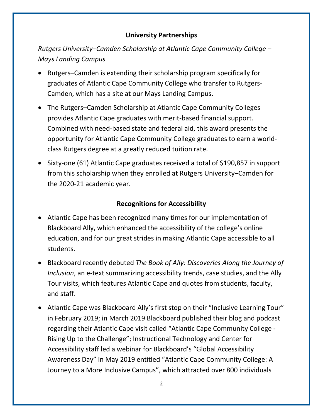## **University Partnerships**

*Rutgers University–Camden Scholarship at Atlantic Cape Community College – Mays Landing Campus*

- Rutgers–Camden is extending their scholarship program specifically for graduates of Atlantic Cape Community College who transfer to Rutgers-Camden, which has a site at our Mays Landing Campus.
- The Rutgers–Camden Scholarship at Atlantic Cape Community Colleges provides Atlantic Cape graduates with merit-based financial support. Combined with need-based state and federal aid, this award presents the opportunity for Atlantic Cape Community College graduates to earn a worldclass Rutgers degree at a greatly reduced tuition rate.
- Sixty-one (61) Atlantic Cape graduates received a total of \$190,857 in support from this scholarship when they enrolled at Rutgers University–Camden for the 2020-21 academic year.

# **Recognitions for Accessibility**

- Atlantic Cape has been recognized many times for our implementation of Blackboard Ally, which enhanced the accessibility of the college's online education, and for our great strides in making Atlantic Cape accessible to all students.
- Blackboard recently debuted *The Book of Ally: Discoveries Along the Journey of Inclusion*, an e-text summarizing accessibility trends, case studies, and the Ally Tour visits, which features Atlantic Cape and quotes from students, faculty, and staff.
- Atlantic Cape was Blackboard Ally's first stop on their "Inclusive Learning Tour" in February 2019; in March 2019 Blackboard published their blog and podcast regarding their Atlantic Cape visit called "Atlantic Cape Community College - Rising Up to the Challenge"; Instructional Technology and Center for Accessibility staff led a webinar for Blackboard's "Global Accessibility Awareness Day" in May 2019 entitled "Atlantic Cape Community College: A Journey to a More Inclusive Campus", which attracted over 800 individuals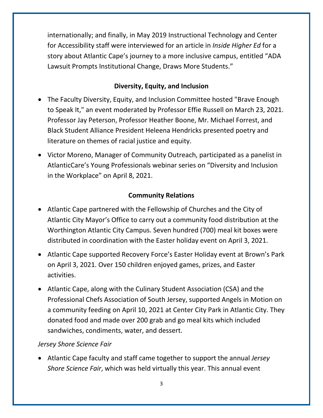internationally; and finally, in May 2019 Instructional Technology and Center for Accessibility staff were interviewed for an article in *Inside Higher Ed* for a story about Atlantic Cape's journey to a more inclusive campus, entitled "ADA Lawsuit Prompts Institutional Change, Draws More Students."

# **Diversity, Equity, and Inclusion**

- The Faculty Diversity, Equity, and Inclusion Committee hosted "Brave Enough to Speak It," an event moderated by Professor Effie Russell on March 23, 2021. Professor Jay Peterson, Professor Heather Boone, Mr. Michael Forrest, and Black Student Alliance President Heleena Hendricks presented poetry and literature on themes of racial justice and equity.
- Victor Moreno, Manager of Community Outreach, participated as a panelist in AtlanticCare's Young Professionals webinar series on "Diversity and Inclusion in the Workplace" on April 8, 2021.

## **Community Relations**

- Atlantic Cape partnered with the Fellowship of Churches and the City of Atlantic City Mayor's Office to carry out a community food distribution at the Worthington Atlantic City Campus. Seven hundred (700) meal kit boxes were distributed in coordination with the Easter holiday event on April 3, 2021.
- Atlantic Cape supported Recovery Force's Easter Holiday event at Brown's Park on April 3, 2021. Over 150 children enjoyed games, prizes, and Easter activities.
- Atlantic Cape, along with the Culinary Student Association (CSA) and the Professional Chefs Association of South Jersey, supported Angels in Motion on a community feeding on April 10, 2021 at Center City Park in Atlantic City. They donated food and made over 200 grab and go meal kits which included sandwiches, condiments, water, and dessert.

#### *Jersey Shore Science Fair*

• Atlantic Cape faculty and staff came together to support the annual *Jersey Shore Science Fair*, which was held virtually this year. This annual event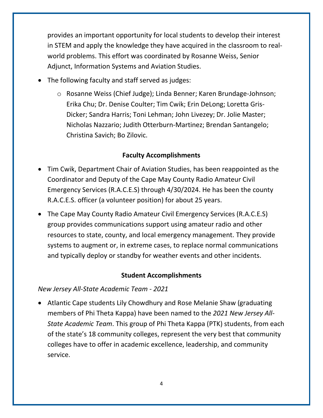provides an important opportunity for local students to develop their interest in STEM and apply the knowledge they have acquired in the classroom to realworld problems. This effort was coordinated by Rosanne Weiss, Senior Adjunct, Information Systems and Aviation Studies.

- The following faculty and staff served as judges:
	- o Rosanne Weiss (Chief Judge); Linda Benner; Karen Brundage-Johnson; Erika Chu; Dr. Denise Coulter; Tim Cwik; Erin DeLong; Loretta Gris-Dicker; Sandra Harris; Toni Lehman; John Livezey; Dr. Jolie Master; Nicholas Nazzario; Judith Otterburn-Martinez; Brendan Santangelo; Christina Savich; Bo Zilovic.

## **Faculty Accomplishments**

- Tim Cwik, Department Chair of Aviation Studies, has been reappointed as the Coordinator and Deputy of the Cape May County Radio Amateur Civil Emergency Services (R.A.C.E.S) through 4/30/2024. He has been the county R.A.C.E.S. officer (a volunteer position) for about 25 years.
- The Cape May County Radio Amateur Civil Emergency Services (R.A.C.E.S) group provides communications support using amateur radio and other resources to state, county, and local emergency management. They provide systems to augment or, in extreme cases, to replace normal communications and typically deploy or standby for weather events and other incidents.

## **Student Accomplishments**

#### *New Jersey All-State Academic Team - 2021*

• Atlantic Cape students Lily Chowdhury and Rose Melanie Shaw (graduating members of Phi Theta Kappa) have been named to the *2021 New Jersey All-State Academic Team*. This group of Phi Theta Kappa (PTK) students, from each of the state's 18 community colleges, represent the very best that community colleges have to offer in academic excellence, leadership, and community service.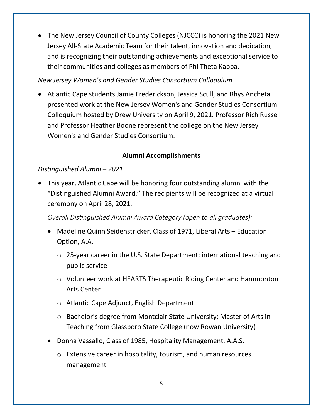• The New Jersey Council of County Colleges (NJCCC) is honoring the 2021 New Jersey All-State Academic Team for their talent, innovation and dedication, and is recognizing their outstanding achievements and exceptional service to their communities and colleges as members of Phi Theta Kappa.

*New Jersey Women's and Gender Studies Consortium Colloquium*

• Atlantic Cape students Jamie Frederickson, Jessica Scull, and Rhys Ancheta presented work at the New Jersey Women's and Gender Studies Consortium Colloquium hosted by Drew University on April 9, 2021. Professor Rich Russell and Professor Heather Boone represent the college on the New Jersey Women's and Gender Studies Consortium.

# **Alumni Accomplishments**

# *Distinguished Alumni – 2021*

• This year, Atlantic Cape will be honoring four outstanding alumni with the "Distinguished Alumni Award." The recipients will be recognized at a virtual ceremony on April 28, 2021.

*Overall Distinguished Alumni Award Category (open to all graduates):*

- Madeline Quinn Seidenstricker, Class of 1971, Liberal Arts Education Option, A.A.
	- o 25-year career in the U.S. State Department; international teaching and public service
	- o Volunteer work at HEARTS Therapeutic Riding Center and Hammonton Arts Center
	- o Atlantic Cape Adjunct, English Department
	- o Bachelor's degree from Montclair State University; Master of Arts in Teaching from Glassboro State College (now Rowan University)
- Donna Vassallo, Class of 1985, Hospitality Management, A.A.S.
	- o Extensive career in hospitality, tourism, and human resources management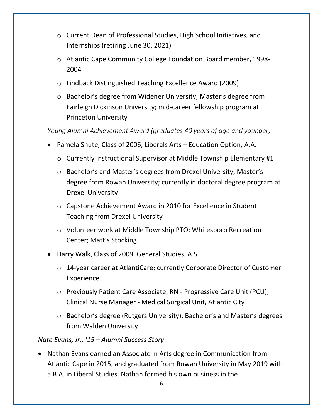- o Current Dean of Professional Studies, High School Initiatives, and Internships (retiring June 30, 2021)
- o Atlantic Cape Community College Foundation Board member, 1998- 2004
- o Lindback Distinguished Teaching Excellence Award (2009)
- o Bachelor's degree from Widener University; Master's degree from Fairleigh Dickinson University; mid-career fellowship program at Princeton University

*Young Alumni Achievement Award (graduates 40 years of age and younger)*

- Pamela Shute, Class of 2006, Liberals Arts Education Option, A.A.
	- o Currently Instructional Supervisor at Middle Township Elementary #1
	- o Bachelor's and Master's degrees from Drexel University; Master's degree from Rowan University; currently in doctoral degree program at Drexel University
	- o Capstone Achievement Award in 2010 for Excellence in Student Teaching from Drexel University
	- o Volunteer work at Middle Township PTO; Whitesboro Recreation Center; Matt's Stocking
- Harry Walk, Class of 2009, General Studies, A.S.
	- o 14-year career at AtlantiCare; currently Corporate Director of Customer Experience
	- o Previously Patient Care Associate; RN Progressive Care Unit (PCU); Clinical Nurse Manager - Medical Surgical Unit, Atlantic City
	- o Bachelor's degree (Rutgers University); Bachelor's and Master's degrees from Walden University

# *Nate Evans, Jr., '15 – Alumni Success Story*

• Nathan Evans earned an Associate in Arts degree in Communication from Atlantic Cape in 2015, and graduated from Rowan University in May 2019 with a B.A. in Liberal Studies. Nathan formed his own business in the